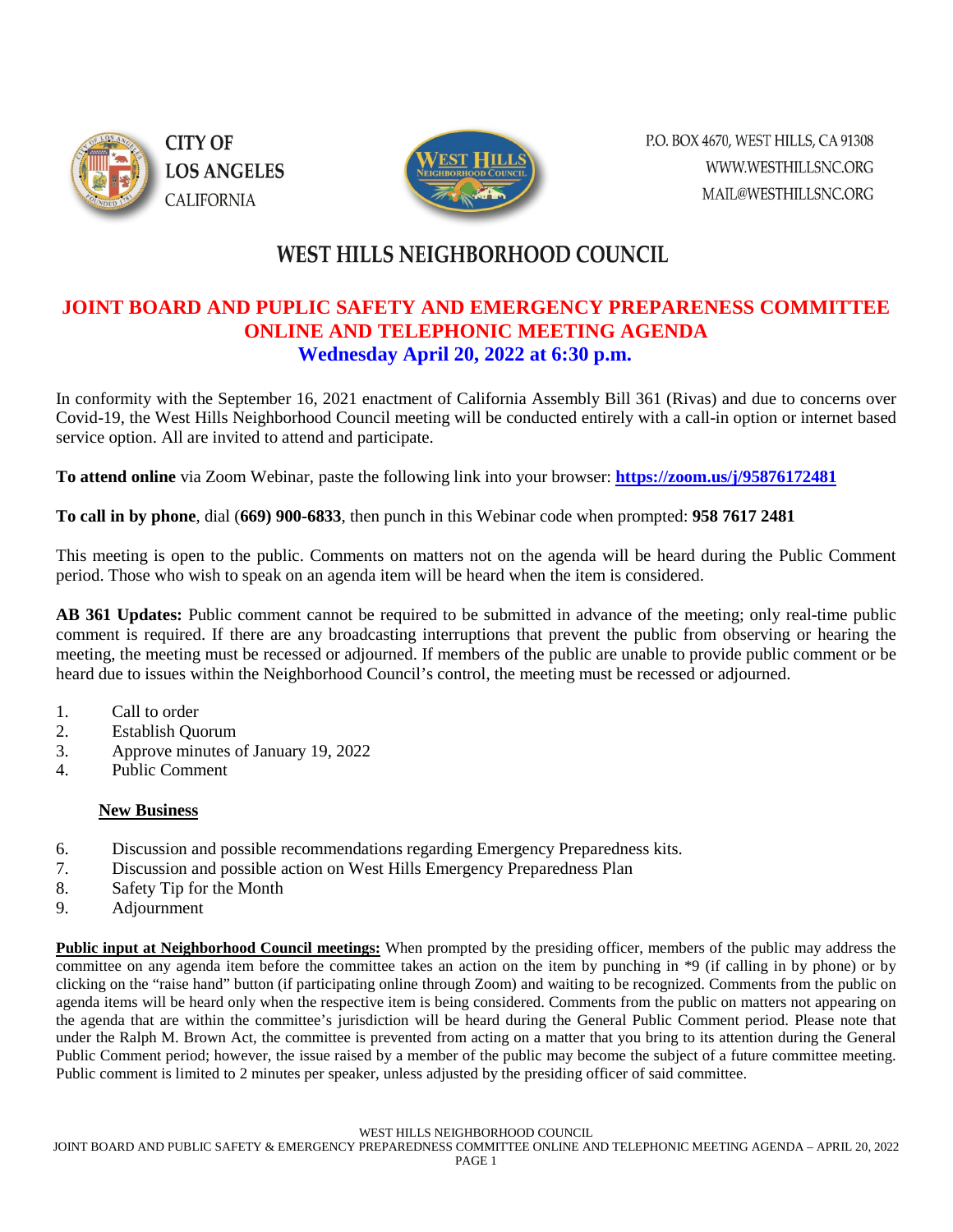

**CITY OF LOS ANGELES CALIFORNIA** 



P.O. BOX 4670, WEST HILLS, CA 91308 WWW.WESTHILLSNC.ORG MAIL@WESTHILLSNC.ORG

# **WEST HILLS NEIGHBORHOOD COUNCIL**

# **JOINT BOARD AND PUPLIC SAFETY AND EMERGENCY PREPARENESS COMMITTEE ONLINE AND TELEPHONIC MEETING AGENDA Wednesday April 20, 2022 at 6:30 p.m.**

In conformity with the September 16, 2021 enactment of California Assembly Bill 361 (Rivas) and due to concerns over Covid-19, the West Hills Neighborhood Council meeting will be conducted entirely with a call-in option or internet based service option. All are invited to attend and participate.

**To attend online** via Zoom Webinar, paste the following link into your browser: **<https://zoom.us/j/95876172481>**

**To call in by phone**, dial (**669) 900-6833**, then punch in this Webinar code when prompted: **958 7617 2481**

This meeting is open to the public. Comments on matters not on the agenda will be heard during the Public Comment period. Those who wish to speak on an agenda item will be heard when the item is considered.

**AB 361 Updates:** Public comment cannot be required to be submitted in advance of the meeting; only real-time public comment is required. If there are any broadcasting interruptions that prevent the public from observing or hearing the meeting, the meeting must be recessed or adjourned. If members of the public are unable to provide public comment or be heard due to issues within the Neighborhood Council's control, the meeting must be recessed or adjourned.

- 1. Call to order
- 2. Establish Quorum
- 3. Approve minutes of January 19, 2022
- 4. Public Comment

#### **New Business**

- 6. Discussion and possible recommendations regarding Emergency Preparedness kits.
- 7. Discussion and possible action on West Hills Emergency Preparedness Plan
- 8. Safety Tip for the Month
- 9. Adjournment

**Public input at Neighborhood Council meetings:** When prompted by the presiding officer, members of the public may address the committee on any agenda item before the committee takes an action on the item by punching in \*9 (if calling in by phone) or by clicking on the "raise hand" button (if participating online through Zoom) and waiting to be recognized. Comments from the public on agenda items will be heard only when the respective item is being considered. Comments from the public on matters not appearing on the agenda that are within the committee's jurisdiction will be heard during the General Public Comment period. Please note that under the Ralph M. Brown Act, the committee is prevented from acting on a matter that you bring to its attention during the General Public Comment period; however, the issue raised by a member of the public may become the subject of a future committee meeting. Public comment is limited to 2 minutes per speaker, unless adjusted by the presiding officer of said committee.

#### WEST HILLS NEIGHBORHOOD COUNCIL

JOINT BOARD AND PUBLIC SAFETY & EMERGENCY PREPAREDNESS COMMITTEE ONLINE AND TELEPHONIC MEETING AGENDA – APRIL 20, 2022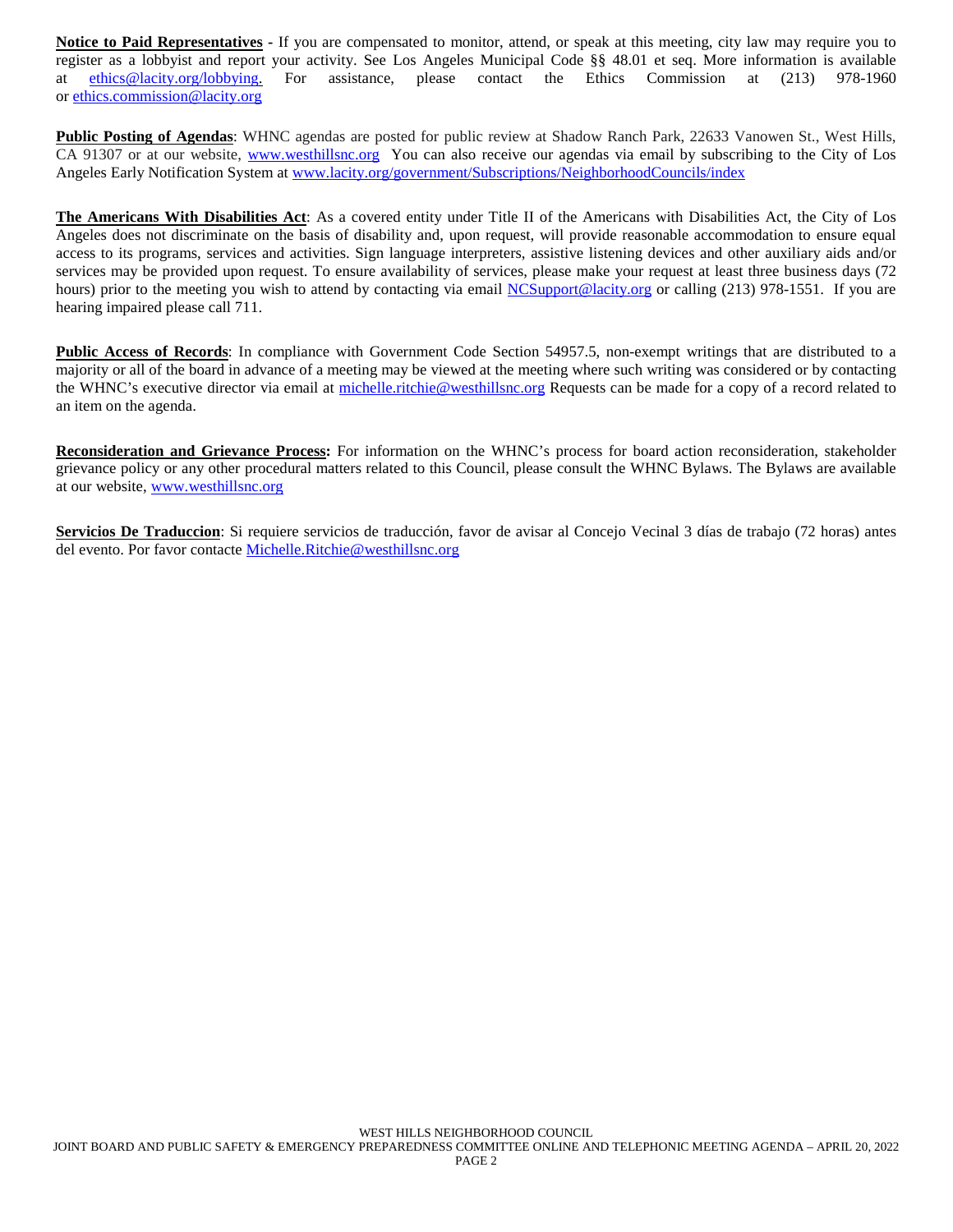**Notice to Paid Representatives -** If you are compensated to monitor, attend, or speak at this meeting, city law may require you to register as a lobbyist and report your activity. See Los Angeles Municipal Code §§ 48.01 et seq. More information is available at [ethics@lacity.org/lobbying.](mailto:) For assistance, please contact the Ethics Commission at (213) 978-1960 or [ethics.commission@lacity.org](mailto:)

**Public Posting of Agendas**: WHNC agendas are posted for public review at Shadow Ranch Park, 22633 Vanowen St., West Hills, CA 91307 or at our website, [www.westhillsnc.org](http://www.westhillsnc.org/) You can also receive our agendas via email by subscribing to the City of Los Angeles Early Notification System at [www.lacity.org/government/Subscriptions/NeighborhoodCouncils/index](http://www.lacity.org/government/Subscriptions/NeighborhoodCouncils/index)

**The Americans With Disabilities Act**: As a covered entity under Title II of the Americans with Disabilities Act, the City of Los Angeles does not discriminate on the basis of disability and, upon request, will provide reasonable accommodation to ensure equal access to its programs, services and activities. Sign language interpreters, assistive listening devices and other auxiliary aids and/or services may be provided upon request. To ensure availability of services, please make your request at least three business days (72 hours) prior to the meeting you wish to attend by contacting via email [NCSupport@lacity.org](mailto:NCSupport@lacity.org) or calling (213) 978-1551. If you are hearing impaired please call 711.

**Public Access of Records**: In compliance with Government Code Section 54957.5, non-exempt writings that are distributed to a majority or all of the board in advance of a meeting may be viewed at the meeting where such writing was considered or by contacting the WHNC's executive director via email at [michelle.ritchie@westhillsnc.org](mailto:michelle.ritchie@westhillsnc.org) Requests can be made for a copy of a record related to an item on the agenda.

**Reconsideration and Grievance Process:** For information on the WHNC's process for board action reconsideration, stakeholder grievance policy or any other procedural matters related to this Council, please consult the WHNC Bylaws. The Bylaws are available at our website, [www.westhillsnc.org](http://www.westhillsnc.org/)

**Servicios De Traduccion**: Si requiere servicios de traducción, favor de avisar al Concejo Vecinal 3 días de trabajo (72 horas) antes del evento. Por favor contacte [Michelle.Ritchie@westhillsnc.org](mailto:Michelle.Ritchie@westhillsnc.org)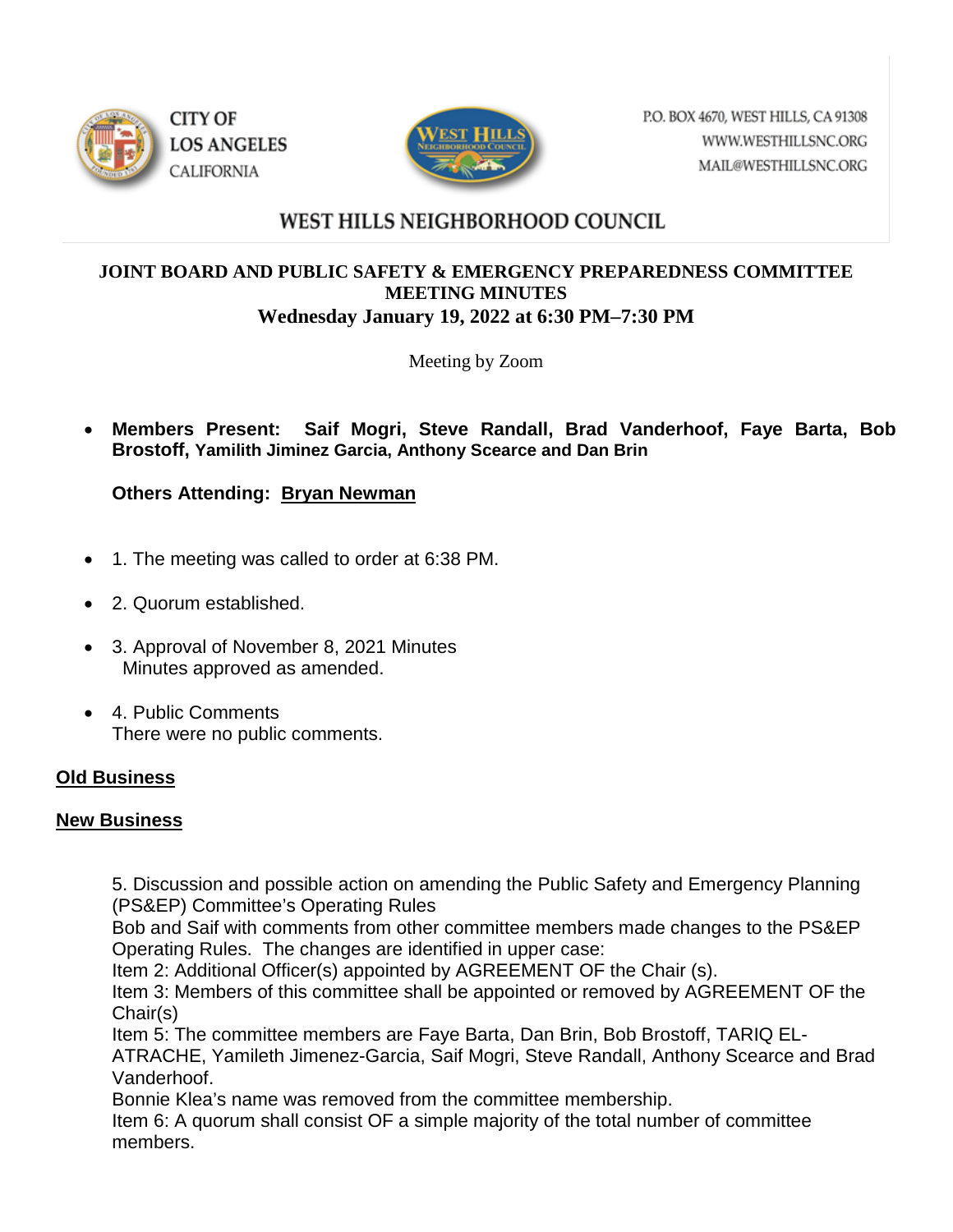



P.O. BOX 4670, WEST HILLS, CA 91308 WWW.WESTHILLSNC.ORG MAIL@WESTHILLSNC.ORG

# WEST HILLS NEIGHBORHOOD COUNCIL

#### **JOINT BOARD AND PUBLIC SAFETY & EMERGENCY PREPAREDNESS COMMITTEE MEETING MINUTES Wednesday January 19, 2022 at 6:30 PM–7:30 PM**

Meeting by Zoom

• **Members Present: Saif Mogri, Steve Randall, Brad Vanderhoof, Faye Barta, Bob Brostoff, Yamilith Jiminez Garcia, Anthony Scearce and Dan Brin**

**Others Attending: Bryan Newman**

- 1. The meeting was called to order at 6:38 PM.
- 2. Quorum established.
- 3. Approval of November 8, 2021 Minutes Minutes approved as amended.
- 4. Public Comments There were no public comments.

# **Old Business**

#### **New Business**

5. Discussion and possible action on amending the Public Safety and Emergency Planning (PS&EP) Committee's Operating Rules

Bob and Saif with comments from other committee members made changes to the PS&EP Operating Rules. The changes are identified in upper case:

Item 2: Additional Officer(s) appointed by AGREEMENT OF the Chair (s).

Item 3: Members of this committee shall be appointed or removed by AGREEMENT OF the Chair(s)

Item 5: The committee members are Faye Barta, Dan Brin, Bob Brostoff, TARIQ EL-

ATRACHE, Yamileth Jimenez-Garcia, Saif Mogri, Steve Randall, Anthony Scearce and Brad Vanderhoof.

Bonnie Klea's name was removed from the committee membership.

Item 6: A quorum shall consist OF a simple majority of the total number of committee members.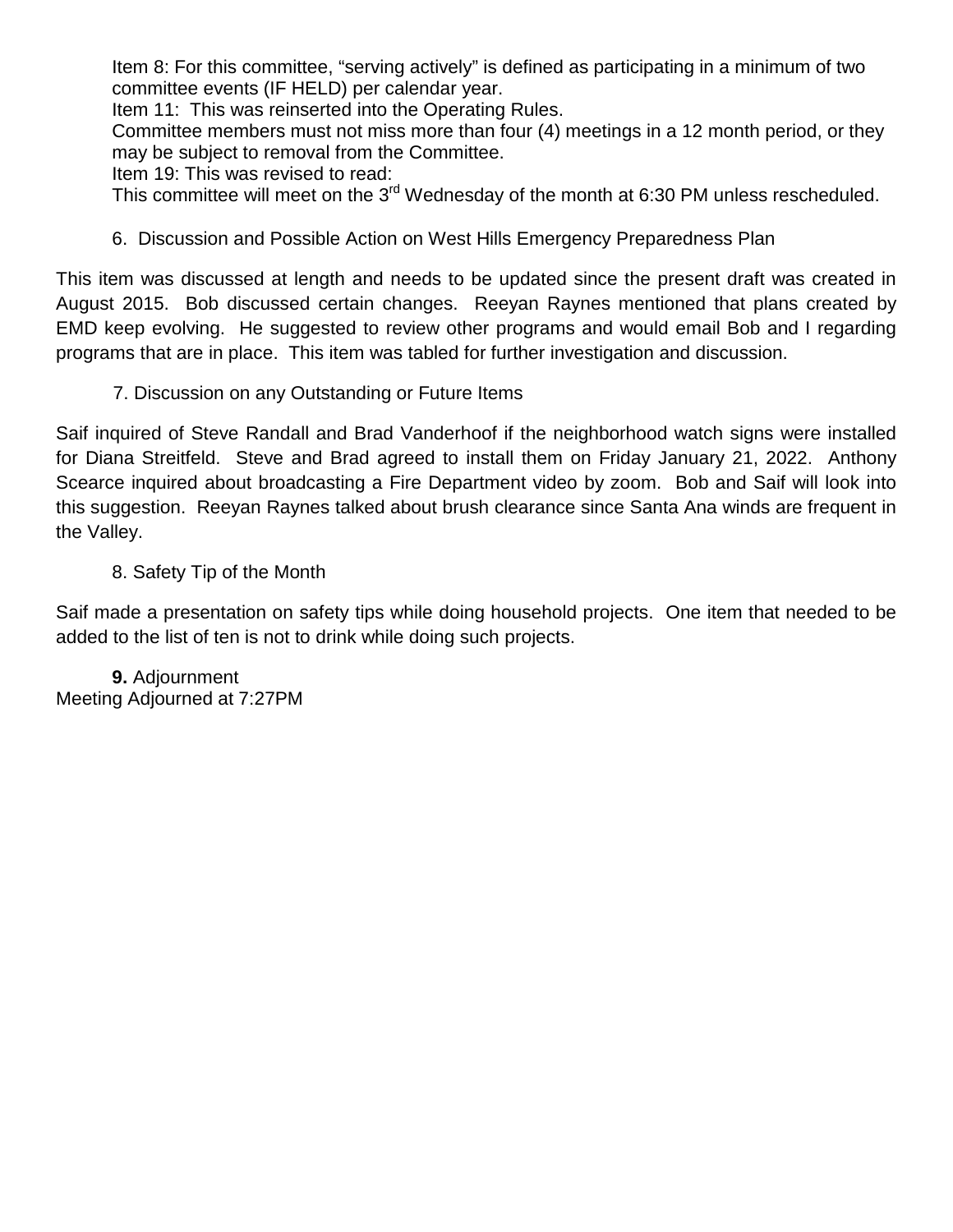Item 8: For this committee, "serving actively" is defined as participating in a minimum of two committee events (IF HELD) per calendar year.

Item 11: This was reinserted into the Operating Rules.

Committee members must not miss more than four (4) meetings in a 12 month period, or they may be subject to removal from the Committee.

Item 19: This was revised to read:

This committee will meet on the 3<sup>rd</sup> Wednesday of the month at 6:30 PM unless rescheduled.

6. Discussion and Possible Action on West Hills Emergency Preparedness Plan

This item was discussed at length and needs to be updated since the present draft was created in August 2015. Bob discussed certain changes. Reeyan Raynes mentioned that plans created by EMD keep evolving. He suggested to review other programs and would email Bob and I regarding programs that are in place. This item was tabled for further investigation and discussion.

7. Discussion on any Outstanding or Future Items

Saif inquired of Steve Randall and Brad Vanderhoof if the neighborhood watch signs were installed for Diana Streitfeld. Steve and Brad agreed to install them on Friday January 21, 2022. Anthony Scearce inquired about broadcasting a Fire Department video by zoom. Bob and Saif will look into this suggestion. Reeyan Raynes talked about brush clearance since Santa Ana winds are frequent in the Valley.

8. Safety Tip of the Month

Saif made a presentation on safety tips while doing household projects. One item that needed to be added to the list of ten is not to drink while doing such projects.

**9.** Adjournment Meeting Adjourned at 7:27PM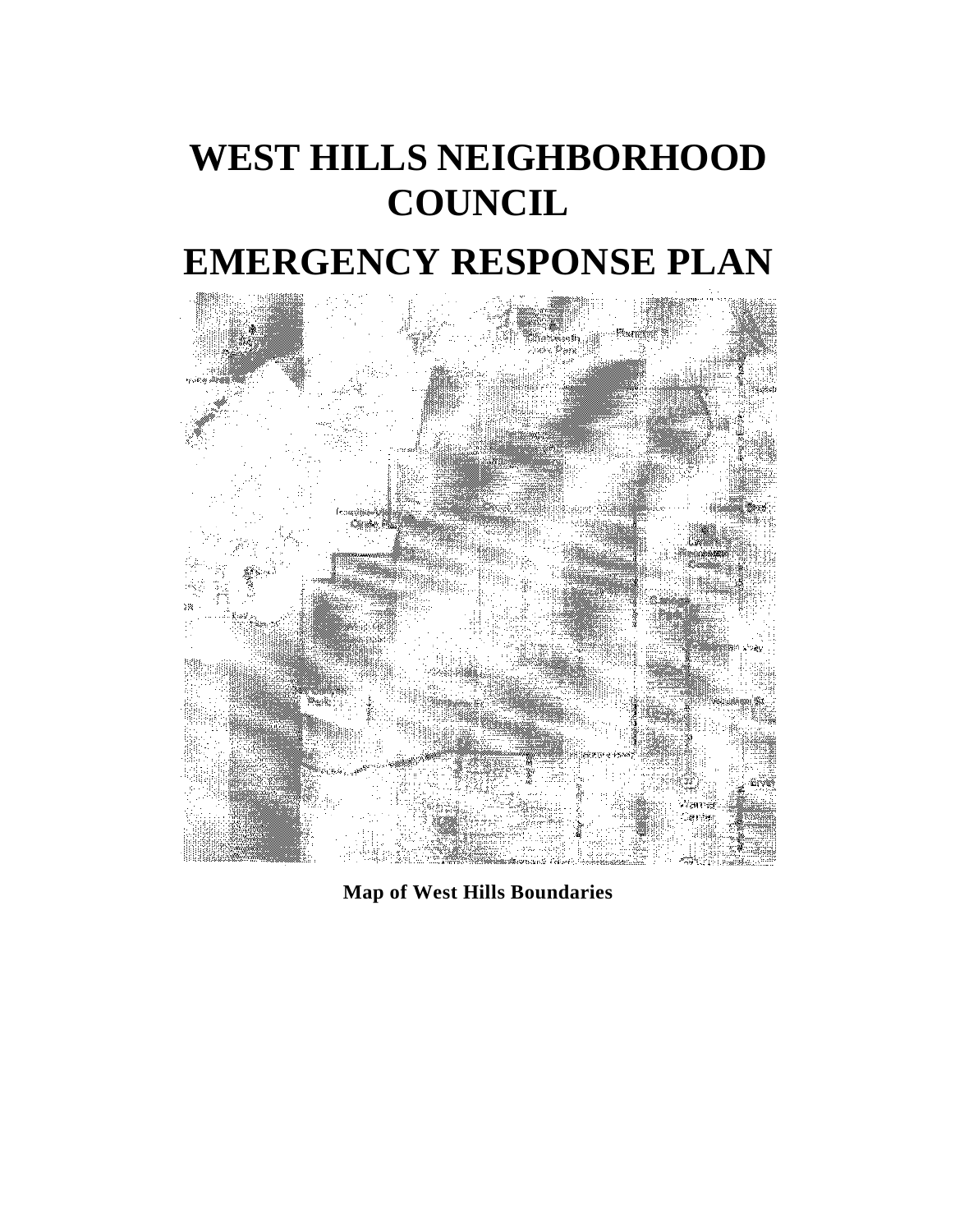# **WEST HILLS NEIGHBORHOOD COUNCIL**

# **EMERGENCY RESPONSE PLAN**



**Map of West Hills Boundaries**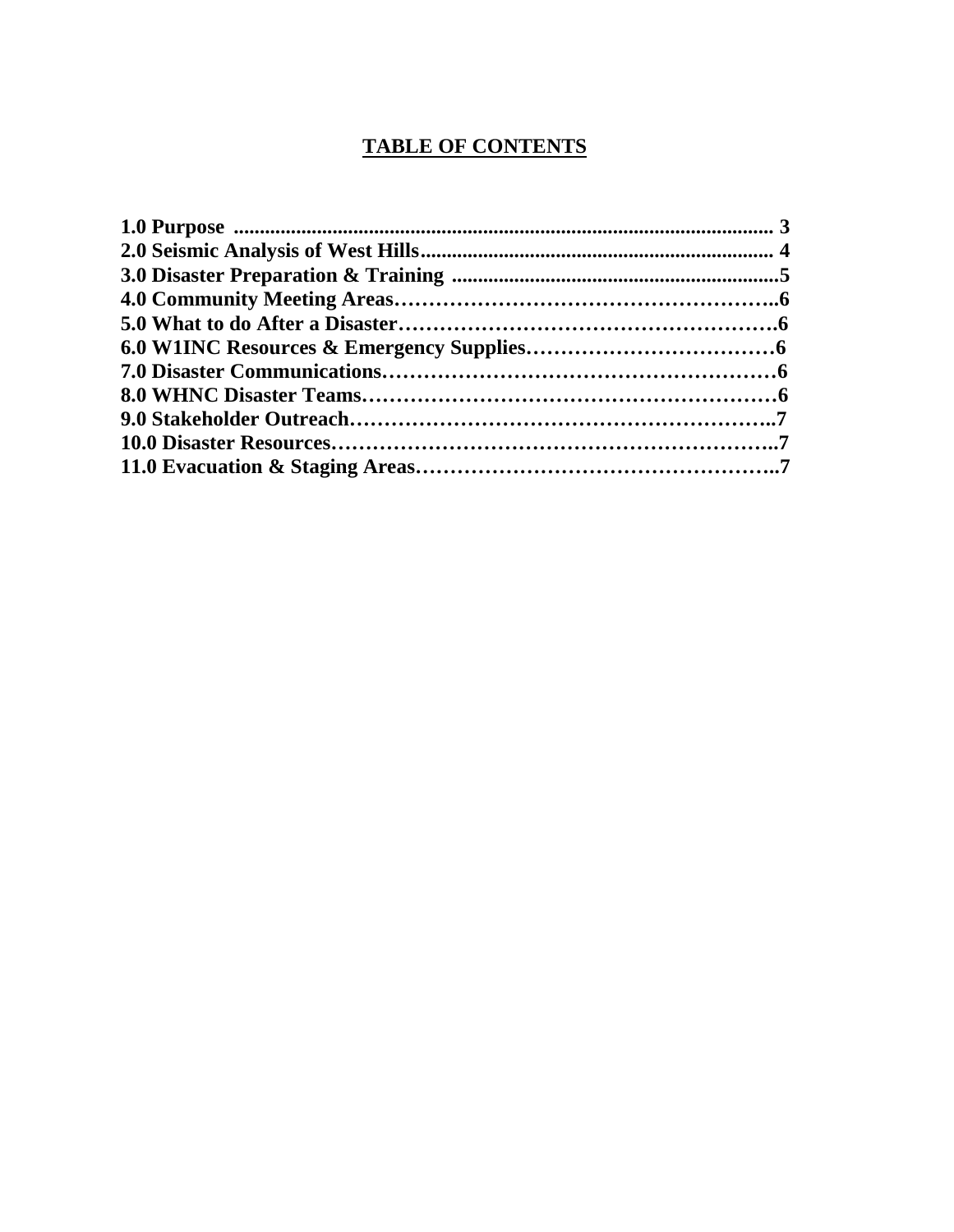# **TABLE OF CONTENTS**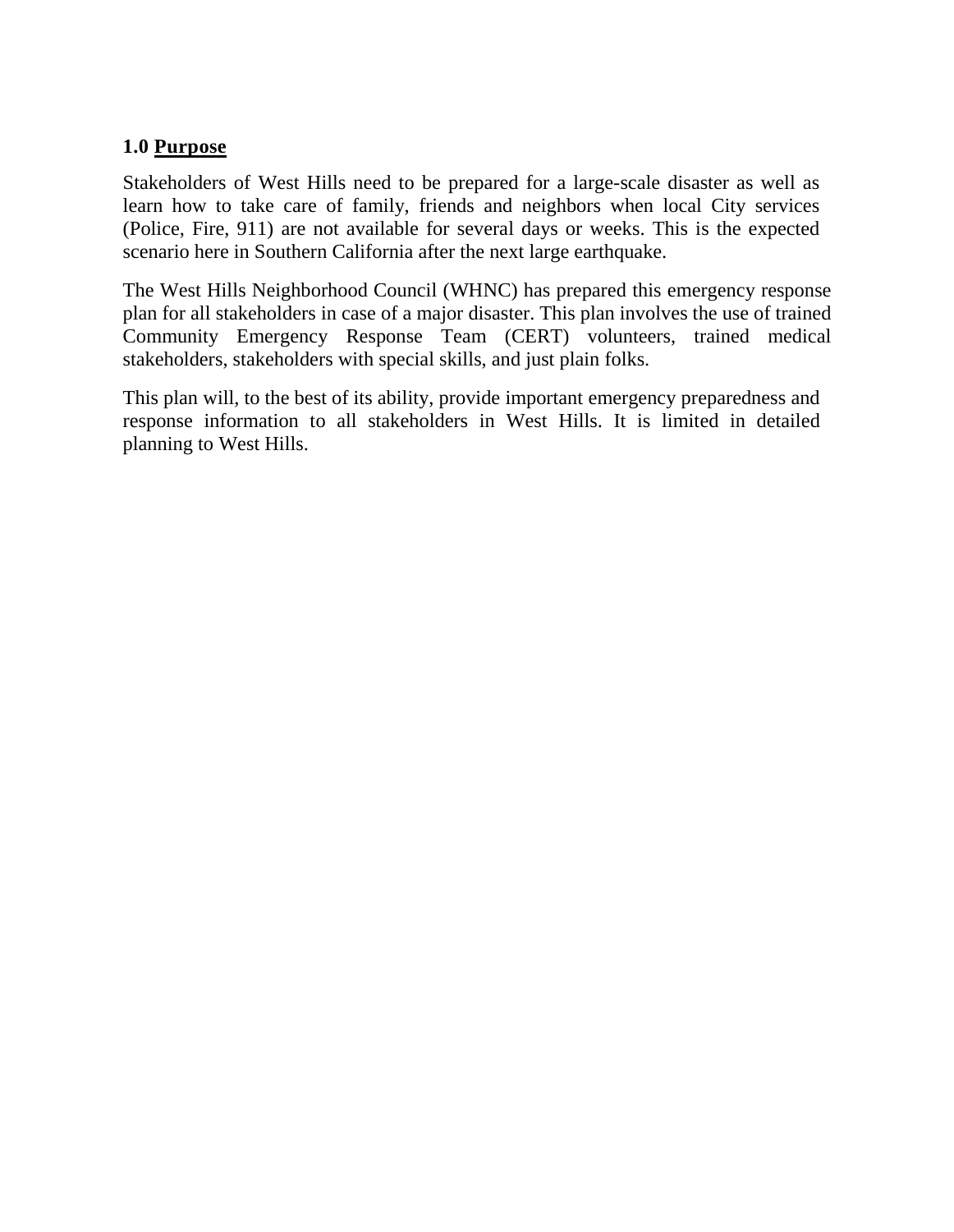### **1.0 Purpose**

Stakeholders of West Hills need to be prepared for a large-scale disaster as well as learn how to take care of family, friends and neighbors when local City services (Police, Fire, 911) are not available for several days or weeks. This is the expected scenario here in Southern California after the next large earthquake.

The West Hills Neighborhood Council (WHNC) has prepared this emergency response plan for all stakeholders in case of a major disaster. This plan involves the use of trained Community Emergency Response Team (CERT) volunteers, trained medical stakeholders, stakeholders with special skills, and just plain folks.

This plan will, to the best of its ability, provide important emergency preparedness and response information to all stakeholders in West Hills. It is limited in detailed planning to West Hills.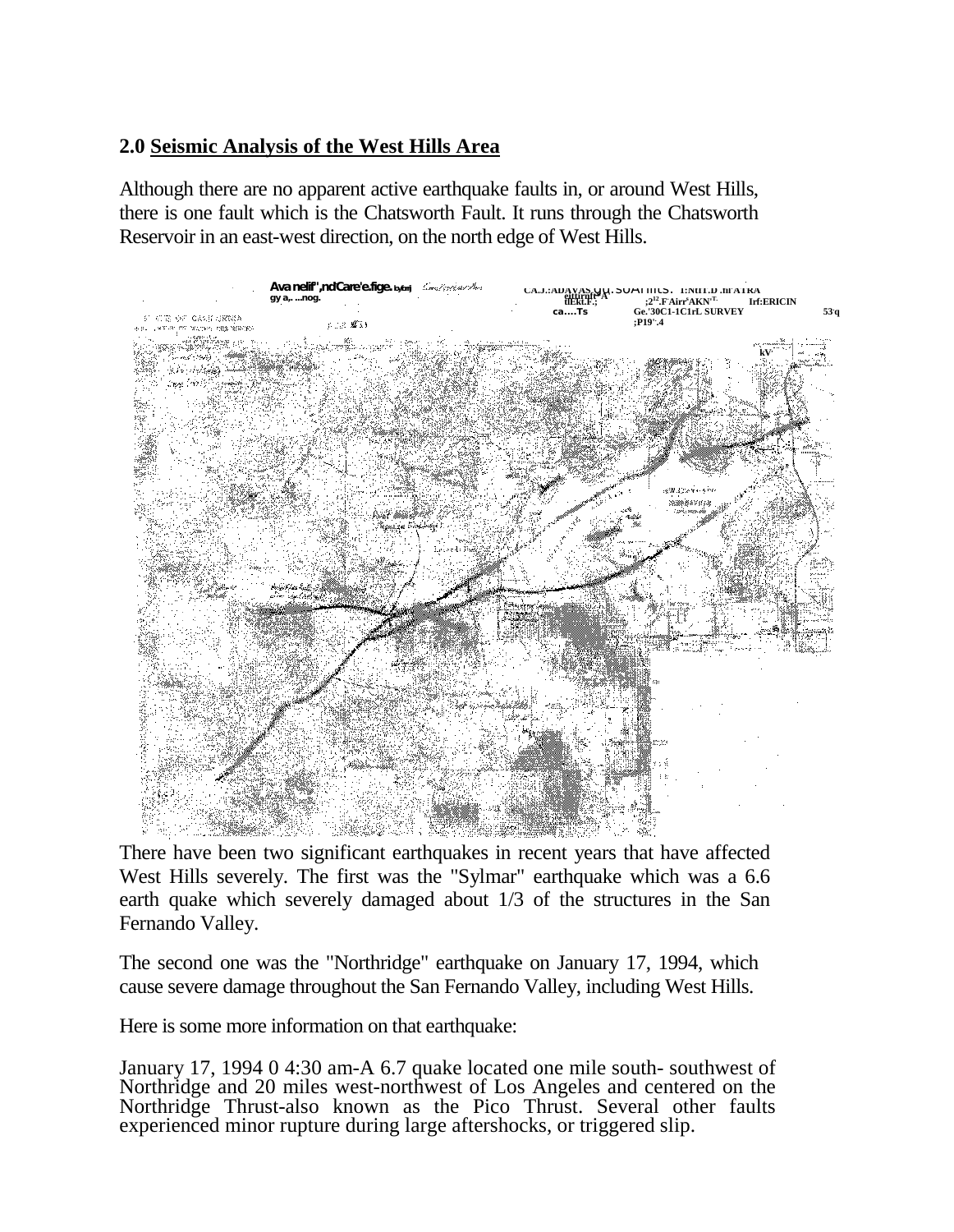# **2.0 Seismic Analysis of the West Hills Area**

Although there are no apparent active earthquake faults in, or around West Hills, there is one fault which is the Chatsworth Fault. It runs through the Chatsworth Reservoir in an east-west direction, on the north edge of West Hills.



There have been two significant earthquakes in recent years that have affected West Hills severely. The first was the "Sylmar" earthquake which was a 6.6 earth quake which severely damaged about 1/3 of the structures in the San Fernando Valley.

The second one was the "Northridge" earthquake on January 17, 1994, which cause severe damage throughout the San Fernando Valley, including West Hills.

Here is some more information on that earthquake:

January 17, 1994 0 4:30 am-A 6.7 quake located one mile south- southwest of Northridge and 20 miles west-northwest of Los Angeles and centered on the Northridge Thrust-also known as the Pico Thrust. Several other faults experienced minor rupture during large aftershocks, or triggered slip.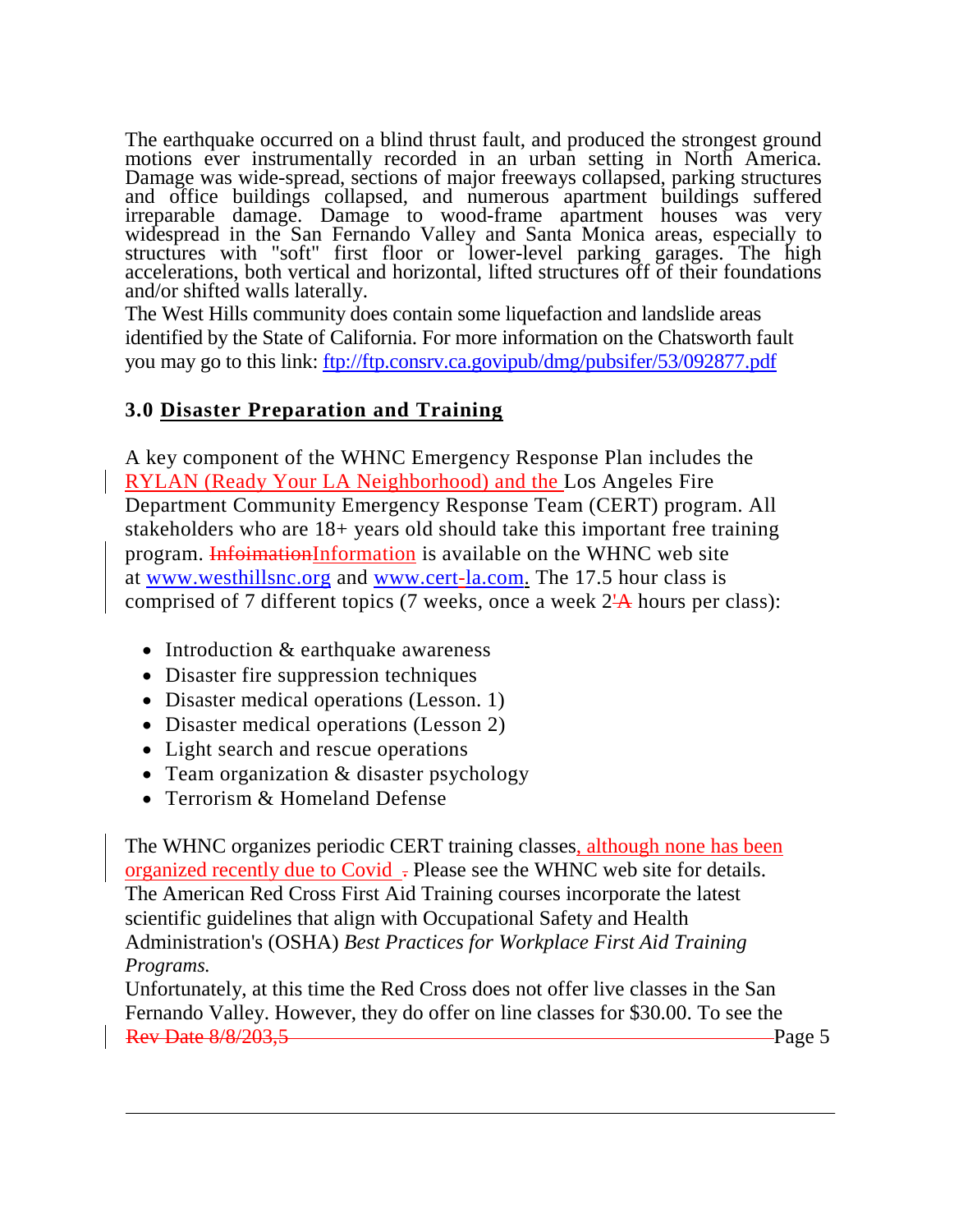The earthquake occurred on a blind thrust fault, and produced the strongest ground motions ever instrumentally recorded in an urban setting in North America. Damage was wide-spread, sections of major freeways collapsed, parking structures and office buildings collapsed, and numerous apartment buildings suffered irreparable damage. Damage to wood-frame apartment houses was very widespread in the San Fernando Valley and Santa Monica areas, especially to structures with "soft" first floor or lower-level parking garages. The high accelerations, both vertical and horizontal, lifted structures off of their foundations and/or shifted walls laterally.

The West Hills community does contain some liquefaction and landslide areas identified by the State of California. For more information on the Chatsworth fault you may go to this link: [ftp://ftp.consrv.ca.govipub/dmg/pubsifer/53/092877.pdf](ftps://ftp.consrv.ca.govipub/dmg/pubsifer/53/092877.pdf)

# **3.0 Disaster Preparation and Training**

A key component of the WHNC Emergency Response Plan includes the RYLAN (Ready Your LA Neighborhood) and the Los Angeles Fire Department Community Emergency Response Team (CERT) program. All stakeholders who are 18+ years old should take this important free training program. InfoimationInformation is available on the WHNC web site at [www.westhillsnc.org](http://www.westhillsnc.org/) and [www.cert-la.com.](http://www.cert-la.com/) The 17.5 hour class is comprised of 7 different topics (7 weeks, once a week 2'A hours per class):

- Introduction & earthquake awareness
- Disaster fire suppression techniques
- Disaster medical operations (Lesson. 1)
- Disaster medical operations (Lesson 2)
- Light search and rescue operations
- Team organization & disaster psychology
- Terrorism & Homeland Defense

The WHNC organizes periodic CERT training classes, although none has been organized recently due to Covid - Please see the WHNC web site for details. The American Red Cross First Aid Training courses incorporate the latest scientific guidelines that align with Occupational Safety and Health Administration's (OSHA) *Best Practices for Workplace First Aid Training Programs.*

Unfortunately, at this time the Red Cross does not offer live classes in the San Fernando Valley. However, they do offer on line classes for \$30.00. To see the **Rev Date 8/8/203,5** Page 5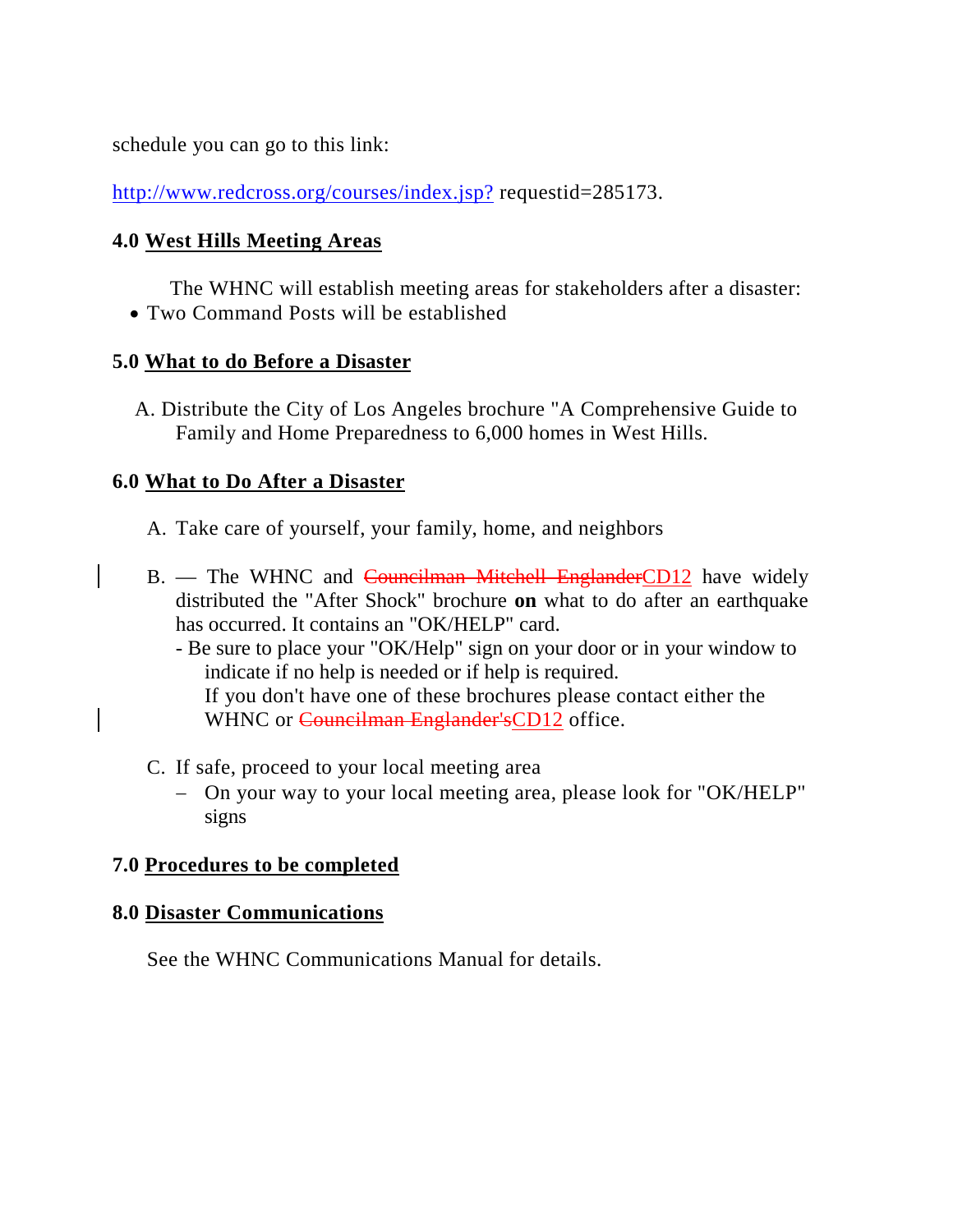schedule you can go to this link:

<http://www.redcross.org/courses/index.jsp?> requestid=285173.

## **4.0 West Hills Meeting Areas**

The WHNC will establish meeting areas for stakeholders after a disaster: • Two Command Posts will be established

### **5.0 What to do Before a Disaster**

A. Distribute the City of Los Angeles brochure "A Comprehensive Guide to Family and Home Preparedness to 6,000 homes in West Hills.

### **6.0 What to Do After a Disaster**

- A. Take care of yourself, your family, home, and neighbors
- B. The WHNC and Councilman Mitchell EnglanderCD12 have widely distributed the "After Shock" brochure **on** what to do after an earthquake has occurred. It contains an "OK/HELP" card.
	- Be sure to place your "OK/Help" sign on your door or in your window to indicate if no help is needed or if help is required. If you don't have one of these brochures please contact either the WHNC or Councilman Englander's CD12 office.
- C. If safe, proceed to your local meeting area
	- − On your way to your local meeting area, please look for "OK/HELP" signs

### **7.0 Procedures to be completed**

### **8.0 Disaster Communications**

See the WHNC Communications Manual for details.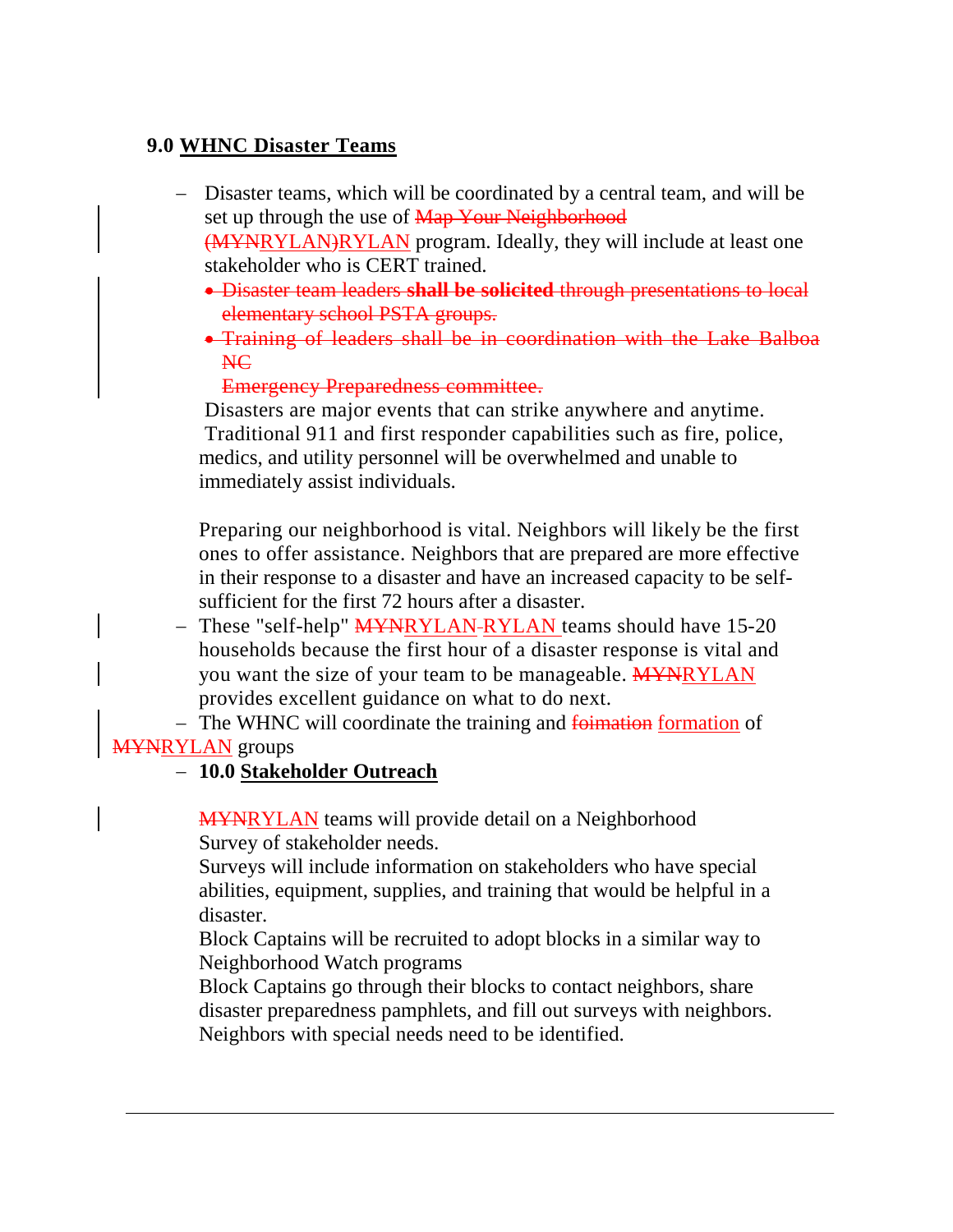# **9.0 WHNC Disaster Teams**

- − Disaster teams, which will be coordinated by a central team, and will be set up through the use of Map Your Neighborhood (MYNRYLAN)RYLAN program. Ideally, they will include at least one stakeholder who is CERT trained.
	- Disaster team leaders **shall be solicited** through presentations to local elementary school PSTA groups.
	- Training of leaders shall be in coordination with the Lake Balboa NC

Emergency Preparedness committee.

Disasters are major events that can strike anywhere and anytime. Traditional 911 and first responder capabilities such as fire, police, medics, and utility personnel will be overwhelmed and unable to immediately assist individuals.

Preparing our neighborhood is vital. Neighbors will likely be the first ones to offer assistance. Neighbors that are prepared are more effective in their response to a disaster and have an increased capacity to be selfsufficient for the first 72 hours after a disaster.

− These "self-help" MYNRYLAN-RYLAN teams should have 15-20 households because the first hour of a disaster response is vital and you want the size of your team to be manageable. **MYNRYLAN** provides excellent guidance on what to do next.

− The WHNC will coordinate the training and foimation formation of **MYNRYLAN** groups

### − **10.0 Stakeholder Outreach**

MYNRYLAN teams will provide detail on a Neighborhood Survey of stakeholder needs.

Surveys will include information on stakeholders who have special abilities, equipment, supplies, and training that would be helpful in a disaster.

Block Captains will be recruited to adopt blocks in a similar way to Neighborhood Watch programs

Block Captains go through their blocks to contact neighbors, share disaster preparedness pamphlets, and fill out surveys with neighbors. Neighbors with special needs need to be identified.